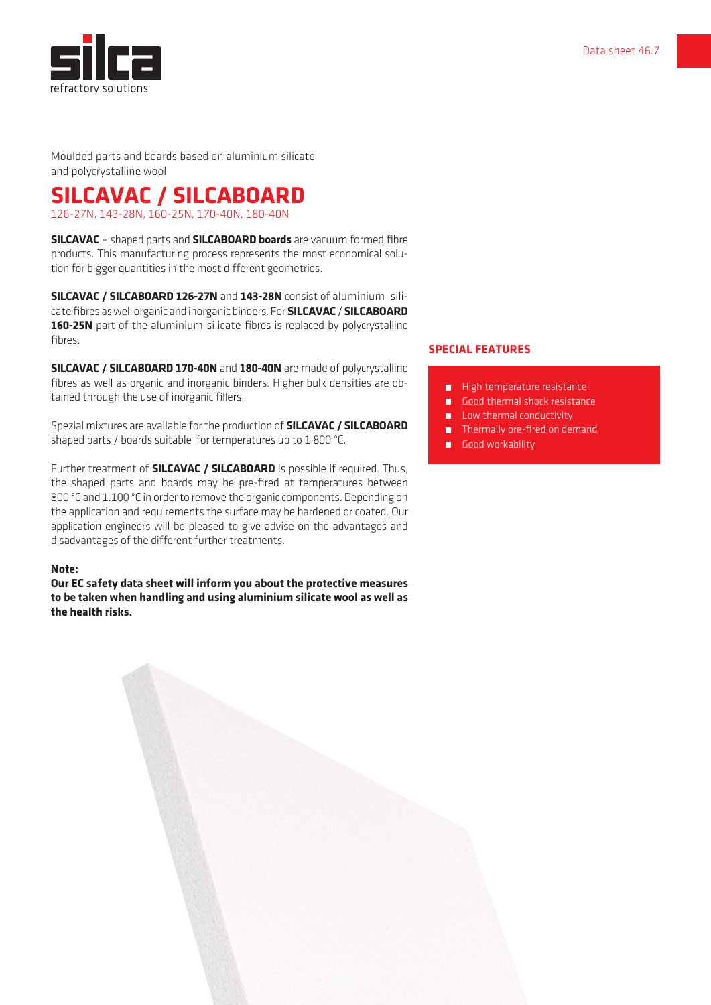

Moulded parts and boards based on aluminium silicate and polycrystalline wool

**SILCAVAC / SILCABOARD** 126-27N, 143-28N, 160-25N, 170-40N, 180-40N

**SILCAVAC** – shaped parts and **SILCABOARD boards** are vacuum formed fibre products. This manufacturing process represents the most economical solution for bigger quantities in the most different geometries.

**SILCAVAC / SILCABOARD 126-27N** and **143-28N** consist of aluminium silicate fibres as well organic and inorganic binders. For **SILCAVAC** / **SILCABOARD 160-25N** part of the aluminium silicate fibres is replaced by polycrystalline fibres.

**SILCAVAC / SILCABOARD 170-40N** and **180-40N** are made of polycrystalline fibres as well as organic and inorganic binders. Higher bulk densities are obtained through the use of inorganic fillers.

Spezial mixtures are available for the production of **SILCAVAC / SILCABOARD** shaped parts / boards suitable for temperatures up to 1.800 °C.

Further treatment of **SILCAVAC / SILCABOARD** is possible if required. Thus, the shaped parts and boards may be pre-fired at temperatures between 800 °C and 1.100 °C in order to remove the organic components. Depending on the application and requirements the surface may be hardened or coated. Our application engineers will be pleased to give advise on the advantages and disadvantages of the different further treatments.

## **Note:**

**Our EC safety data sheet will inform you about the protective measures to be taken when handling and using aluminium silicate wool as well as the health risks.**

## **SPECIAL FEATURES**

- High temperature resistance г
- Good thermal shock resistance m.
- Low thermal conductivity Н
- **Thermally pre-fired on demand**
- Good workability